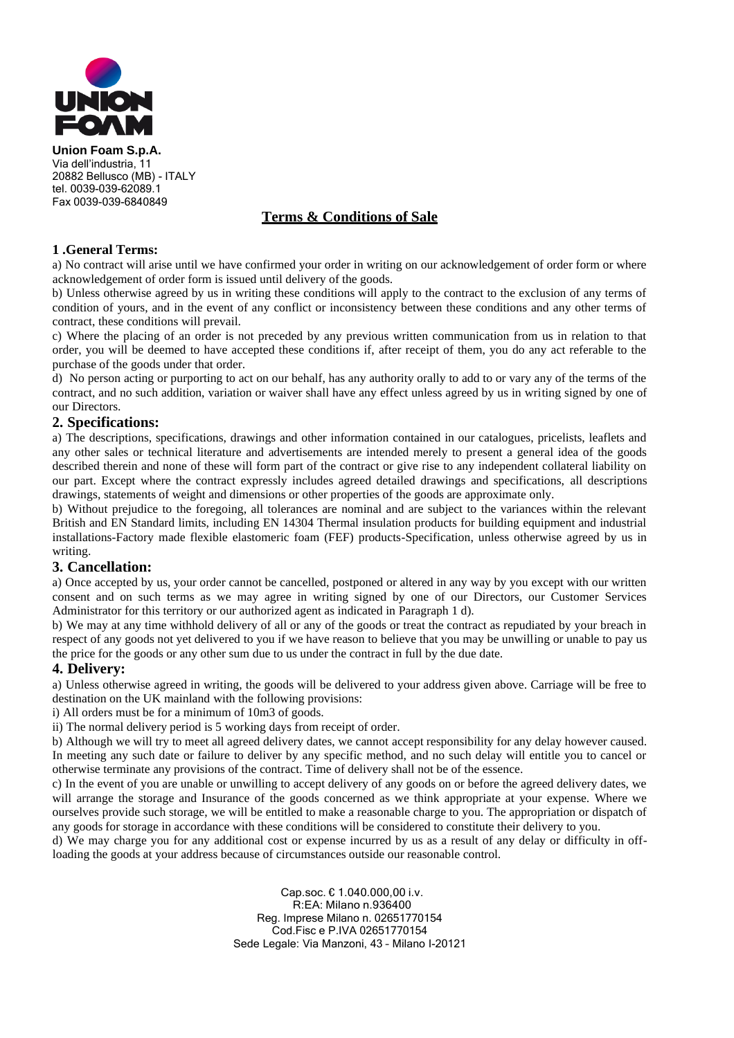

**Union Foam S.p.A.** Via dell'industria, 11 20882 Bellusco (MB) - ITALY tel. 0039-039-62089.1 Fax 0039-039-6840849

## **Terms & Conditions of Sale**

## **1 .General Terms:**

a) No contract will arise until we have confirmed your order in writing on our acknowledgement of order form or where acknowledgement of order form is issued until delivery of the goods.

b) Unless otherwise agreed by us in writing these conditions will apply to the contract to the exclusion of any terms of condition of yours, and in the event of any conflict or inconsistency between these conditions and any other terms of contract, these conditions will prevail.

c) Where the placing of an order is not preceded by any previous written communication from us in relation to that order, you will be deemed to have accepted these conditions if, after receipt of them, you do any act referable to the purchase of the goods under that order.

d) No person acting or purporting to act on our behalf, has any authority orally to add to or vary any of the terms of the contract, and no such addition, variation or waiver shall have any effect unless agreed by us in writing signed by one of our Directors.

## **2. Specifications:**

a) The descriptions, specifications, drawings and other information contained in our catalogues, pricelists, leaflets and any other sales or technical literature and advertisements are intended merely to present a general idea of the goods described therein and none of these will form part of the contract or give rise to any independent collateral liability on our part. Except where the contract expressly includes agreed detailed drawings and specifications, all descriptions drawings, statements of weight and dimensions or other properties of the goods are approximate only.

b) Without prejudice to the foregoing, all tolerances are nominal and are subject to the variances within the relevant British and EN Standard limits, including EN 14304 Thermal insulation products for building equipment and industrial installations-Factory made flexible elastomeric foam (FEF) products-Specification, unless otherwise agreed by us in writing.

## **3. Cancellation:**

a) Once accepted by us, your order cannot be cancelled, postponed or altered in any way by you except with our written consent and on such terms as we may agree in writing signed by one of our Directors, our Customer Services Administrator for this territory or our authorized agent as indicated in Paragraph 1 d).

b) We may at any time withhold delivery of all or any of the goods or treat the contract as repudiated by your breach in respect of any goods not yet delivered to you if we have reason to believe that you may be unwilling or unable to pay us the price for the goods or any other sum due to us under the contract in full by the due date.

## **4. Delivery:**

a) Unless otherwise agreed in writing, the goods will be delivered to your address given above. Carriage will be free to destination on the UK mainland with the following provisions:

i) All orders must be for a minimum of 10m3 of goods.

ii) The normal delivery period is 5 working days from receipt of order.

b) Although we will try to meet all agreed delivery dates, we cannot accept responsibility for any delay however caused. In meeting any such date or failure to deliver by any specific method, and no such delay will entitle you to cancel or otherwise terminate any provisions of the contract. Time of delivery shall not be of the essence.

c) In the event of you are unable or unwilling to accept delivery of any goods on or before the agreed delivery dates, we will arrange the storage and Insurance of the goods concerned as we think appropriate at your expense. Where we ourselves provide such storage, we will be entitled to make a reasonable charge to you. The appropriation or dispatch of any goods for storage in accordance with these conditions will be considered to constitute their delivery to you.

d) We may charge you for any additional cost or expense incurred by us as a result of any delay or difficulty in offloading the goods at your address because of circumstances outside our reasonable control.

> Cap.soc. € 1.040.000,00 i.v. R:EA: Milano n.936400 Reg. Imprese Milano n. 02651770154 Cod.Fisc e P.IVA 02651770154 Sede Legale: Via Manzoni, 43 – Milano I-20121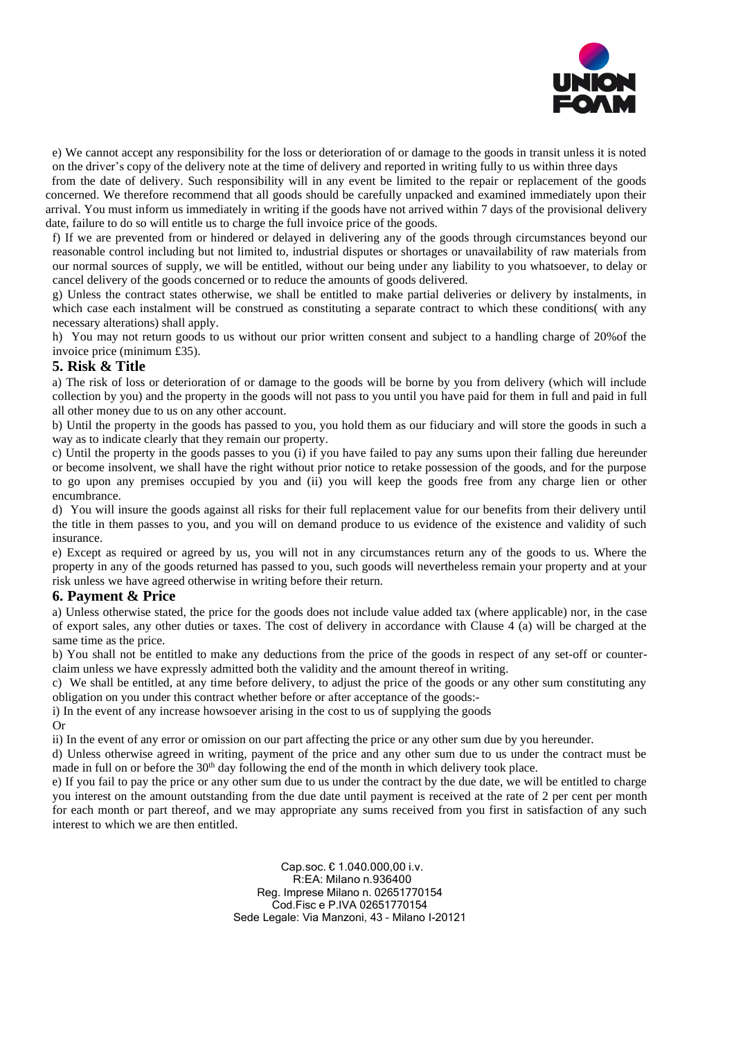

e) We cannot accept any responsibility for the loss or deterioration of or damage to the goods in transit unless it is noted on the driver's copy of the delivery note at the time of delivery and reported in writing fully to us within three days

 from the date of delivery. Such responsibility will in any event be limited to the repair or replacement of the goods concerned. We therefore recommend that all goods should be carefully unpacked and examined immediately upon their arrival. You must inform us immediately in writing if the goods have not arrived within 7 days of the provisional delivery date, failure to do so will entitle us to charge the full invoice price of the goods.

f) If we are prevented from or hindered or delayed in delivering any of the goods through circumstances beyond our reasonable control including but not limited to, industrial disputes or shortages or unavailability of raw materials from our normal sources of supply, we will be entitled, without our being under any liability to you whatsoever, to delay or cancel delivery of the goods concerned or to reduce the amounts of goods delivered.

g) Unless the contract states otherwise, we shall be entitled to make partial deliveries or delivery by instalments, in which case each instalment will be construed as constituting a separate contract to which these conditions( with any necessary alterations) shall apply.

h) You may not return goods to us without our prior written consent and subject to a handling charge of 20%of the invoice price (minimum £35).

## **5. Risk & Title**

a) The risk of loss or deterioration of or damage to the goods will be borne by you from delivery (which will include collection by you) and the property in the goods will not pass to you until you have paid for them in full and paid in full all other money due to us on any other account.

b) Until the property in the goods has passed to you, you hold them as our fiduciary and will store the goods in such a way as to indicate clearly that they remain our property.

c) Until the property in the goods passes to you (i) if you have failed to pay any sums upon their falling due hereunder or become insolvent, we shall have the right without prior notice to retake possession of the goods, and for the purpose to go upon any premises occupied by you and (ii) you will keep the goods free from any charge lien or other encumbrance.

d) You will insure the goods against all risks for their full replacement value for our benefits from their delivery until the title in them passes to you, and you will on demand produce to us evidence of the existence and validity of such insurance.

e) Except as required or agreed by us, you will not in any circumstances return any of the goods to us. Where the property in any of the goods returned has passed to you, such goods will nevertheless remain your property and at your risk unless we have agreed otherwise in writing before their return.

#### **6. Payment & Price**

a) Unless otherwise stated, the price for the goods does not include value added tax (where applicable) nor, in the case of export sales, any other duties or taxes. The cost of delivery in accordance with Clause 4 (a) will be charged at the same time as the price.

b) You shall not be entitled to make any deductions from the price of the goods in respect of any set-off or counterclaim unless we have expressly admitted both the validity and the amount thereof in writing.

c) We shall be entitled, at any time before delivery, to adjust the price of the goods or any other sum constituting any obligation on you under this contract whether before or after acceptance of the goods:-

i) In the event of any increase howsoever arising in the cost to us of supplying the goods

Or

ii) In the event of any error or omission on our part affecting the price or any other sum due by you hereunder.

d) Unless otherwise agreed in writing, payment of the price and any other sum due to us under the contract must be made in full on or before the  $30<sup>th</sup>$  day following the end of the month in which delivery took place.

e) If you fail to pay the price or any other sum due to us under the contract by the due date, we will be entitled to charge you interest on the amount outstanding from the due date until payment is received at the rate of 2 per cent per month for each month or part thereof, and we may appropriate any sums received from you first in satisfaction of any such interest to which we are then entitled.

> Cap.soc. € 1.040.000,00 i.v. R:EA: Milano n.936400 Reg. Imprese Milano n. 02651770154 Cod.Fisc e P.IVA 02651770154 Sede Legale: Via Manzoni, 43 – Milano I-20121